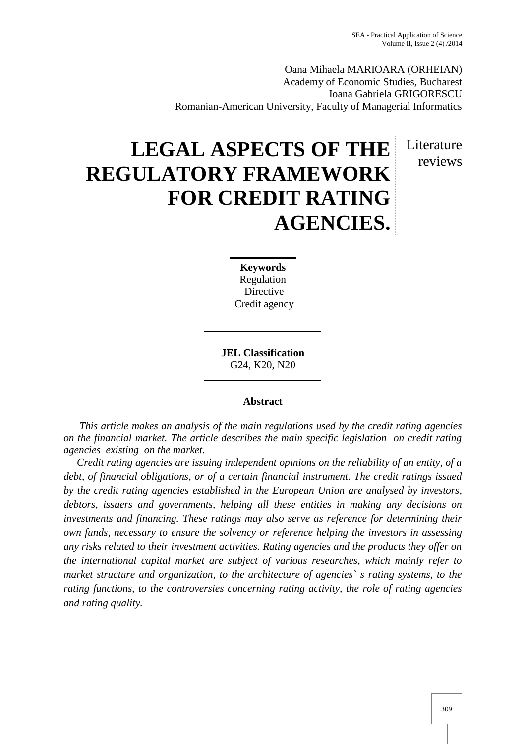Literature reviews

Oana Mihaela MARIOARA (ORHEIAN) Academy of Economic Studies, Bucharest Ioana Gabriela GRIGORESCU Romanian-American University, Faculty of Managerial Informatics

# **LEGAL ASPECTS OF THE REGULATORY FRAMEWORK FOR CREDIT RATING AGENCIES.**

**Keywords** Regulation Directive Credit agency

**JEL Classification** G24, K20, N20

# **Abstract**

*This article makes an analysis of the main regulations used by the credit rating agencies on the financial market. The article describes the main specific legislation on credit rating agencies existing on the market.*

*Credit rating agencies are issuing independent opinions on the reliability of an entity, of a debt, of financial obligations, or of a certain financial instrument. The credit ratings issued by the credit rating agencies established in the European Union are analysed by investors, debtors, issuers and governments, helping all these entities in making any decisions on investments and financing. These ratings may also serve as reference for determining their own funds, necessary to ensure the solvency or reference helping the investors in assessing any risks related to their investment activities. Rating agencies and the products they offer on the international capital market are subject of various researches, which mainly refer to market structure and organization, to the architecture of agencies` s rating systems, to the rating functions, to the controversies concerning rating activity, the role of rating agencies and rating quality.*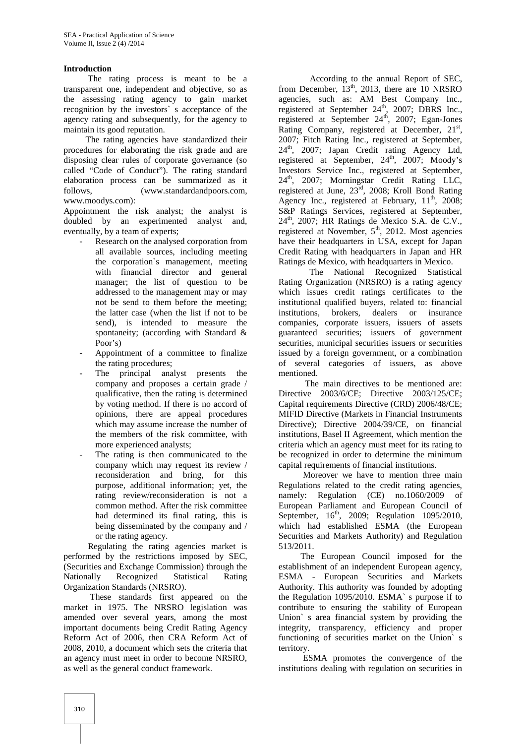## **Introduction**

The rating process is meant to be a transparent one, independent and objective, so as the assessing rating agency to gain market recognition by the investors` s acceptance of the agency rating and subsequently, for the agency to maintain its good reputation.

The rating agencies have standardized their procedures for elaborating the risk grade and are disposing clear rules of corporate governance (so called "Code of Conduct"). The rating standard elaboration process can be summarized as it follows, (www.standardandpoors.com, www.moodys.com):

Appointment the risk analyst; the analyst is doubled by an experimented analyst and, eventually, by a team of experts;

- Research on the analysed corporation from all available sources, including meeting the corporation`s management, meeting with financial director and general manager; the list of question to be addressed to the management may or may not be send to them before the meeting; the latter case (when the list if not to be send), is intended to measure the spontaneity; (according with Standard & Poor's)
- Appointment of a committee to finalize the rating procedures;
- The principal analyst presents the company and proposes a certain grade / qualificative, then the rating is determined by voting method. If there is no accord of opinions, there are appeal procedures which may assume increase the number of the members of the risk committee, with more experienced analysts;
- The rating is then communicated to the company which may request its review / reconsideration and bring, for this purpose, additional information; yet, the rating review/reconsideration is not a common method. After the risk committee had determined its final rating, this is being disseminated by the company and / or the rating agency.

Regulating the rating agencies market is performed by the restrictions imposed by SEC, (Securities and Exchange Commission) through the Nationally Recognized Statistical Rating Organization Standards (NRSRO).

These standards first appeared on the market in 1975. The NRSRO legislation was amended over several years, among the most important documents being Credit Rating Agency Reform Act of 2006, then CRA Reform Act of 2008, 2010, a document which sets the criteria that an agency must meet in order to become NRSRO, as well as the general conduct framework.

According to the annual Report of SEC, from December,  $13<sup>th</sup>$ , 2013, there are 10 NRSRO agencies, such as: AM Best Company Inc., registered at September 24<sup>th</sup>, 2007; DBRS Inc., registered at September 24<sup>th</sup>, 2007; Egan-Jones Rating Company, registered at December,  $21<sup>st</sup>$ , 2007; Fitch Rating Inc., registered at September, 24<sup>th</sup>, 2007; Japan Credit rating Agency Ltd, registered at September,  $24<sup>th</sup>$ ,  $2007$ ; Moody's Investors Service Inc., registered at September, 24<sup>th</sup>, 2007; Morningstar Credit Rating LLC, registered at June, 23rd, 2008; Kroll Bond Rating Agency Inc., registered at February,  $11<sup>th</sup>$ , 2008; S&P Ratings Services, registered at September,  $24<sup>th</sup>$ , 2007; HR Ratings de Mexico S.A. de C.V., registered at November, 5<sup>th</sup>, 2012. Most agencies have their headquarters in USA, except for Japan Credit Rating with headquarters in Japan and HR Ratings de Mexico, with headquarters in Mexico.

The National Recognized Statistical Rating Organization (NRSRO) is a rating agency which issues credit ratings certificates to the institutional qualified buyers, related to: financial institutions, brokers, dealers or insurance companies, corporate issuers, issuers of assets guaranteed securities; issuers of government securities, municipal securities issuers or securities issued by a foreign government, or a combination of several categories of issuers, as above mentioned.

The main directives to be mentioned are: Directive 2003/6/CE; Directive 2003/125/CE; Capital requirements Directive (CRD) 2006/48/CE; MIFID Directive (Markets in Financial Instruments Directive); Directive 2004/39/CE, on financial institutions, Basel II Agreement, which mention the criteria which an agency must meet for its rating to be recognized in order to determine the minimum capital requirements of financial institutions.

Moreover we have to mention three main Regulations related to the credit rating agencies, namely: Regulation (CE) no.1060/2009 of European Parliament and European Council of September,  $16^{th}$ , 2009; Regulation 1095/2010, which had established ESMA (the European Securities and Markets Authority) and Regulation 513/2011.

The European Council imposed for the establishment of an independent European agency, ESMA - European Securities and Markets Authority. This authority was founded by adopting the Regulation 1095/2010. ESMA` s purpose if to contribute to ensuring the stability of European Union` s area financial system by providing the integrity, transparency, efficiency and proper functioning of securities market on the Union` s territory.

ESMA promotes the convergence of the institutions dealing with regulation on securities in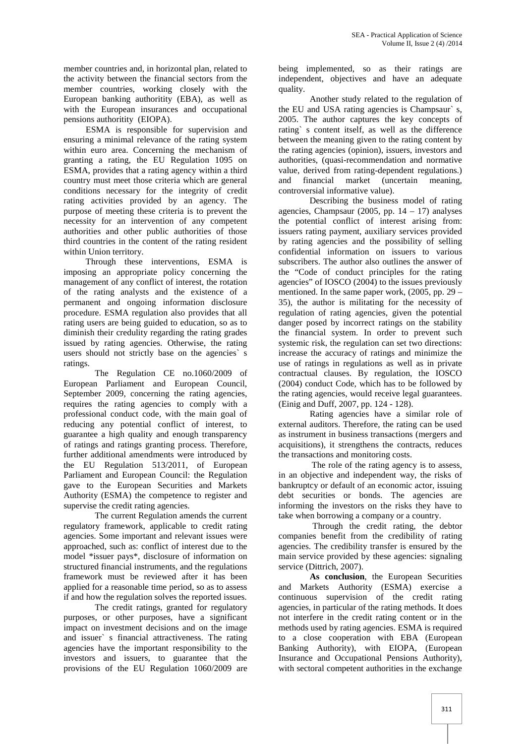member countries and, in horizontal plan, related to the activity between the financial sectors from the member countries, working closely with the European banking authoritity (EBA), as well as with the European insurances and occupational pensions authoritity (EIOPA).

ESMA is responsible for supervision and ensuring a minimal relevance of the rating system within euro area. Concerning the mechanism of granting a rating, the EU Regulation 1095 on ESMA, provides that a rating agency within a third country must meet those criteria which are general conditions necessary for the integrity of credit rating activities provided by an agency. The purpose of meeting these criteria is to prevent the necessity for an intervention of any competent authorities and other public authorities of those third countries in the content of the rating resident within Union territory.

Through these interventions, ESMA is imposing an appropriate policy concerning the management of any conflict of interest, the rotation of the rating analysts and the existence of a permanent and ongoing information disclosure procedure. ESMA regulation also provides that all rating users are being guided to education, so as to diminish their credulity regarding the rating grades issued by rating agencies. Otherwise, the rating users should not strictly base on the agencies' s ratings.

The Regulation CE no.1060/2009 of European Parliament and European Council, September 2009, concerning the rating agencies, requires the rating agencies to comply with a professional conduct code, with the main goal of reducing any potential conflict of interest, to guarantee a high quality and enough transparency of ratings and ratings granting process. Therefore, further additional amendments were introduced by the EU Regulation 513/2011, of European Parliament and European Council: the Regulation gave to the European Securities and Markets Authority (ESMA) the competence to register and supervise the credit rating agencies.

The current Regulation amends the current regulatory framework, applicable to credit rating agencies. Some important and relevant issues were approached, such as: conflict of interest due to the model \*issuer pays\*, disclosure of information on structured financial instruments, and the regulations framework must be reviewed after it has been applied for a reasonable time period, so as to assess if and how the regulation solves the reported issues.

The credit ratings, granted for regulatory purposes, or other purposes, have a significant impact on investment decisions and on the image and issuer` s financial attractiveness. The rating agencies have the important responsibility to the investors and issuers, to guarantee that the provisions of the EU Regulation 1060/2009 are being implemented, so as their ratings are independent, objectives and have an adequate quality.

Another study related to the regulation of the EU and USA rating agencies is Champsaur` s, 2005. The author captures the key concepts of rating` s content itself, as well as the difference between the meaning given to the rating content by the rating agencies (opinion), issuers, investors and authorities, (quasi-recommendation and normative value, derived from rating-dependent regulations.) and financial market (uncertain meaning, controversial informative value).

Describing the business model of rating agencies, Champsaur  $(2005, pp. 14 - 17)$  analyses the potential conflict of interest arising from: issuers rating payment, auxiliary services provided by rating agencies and the possibility of selling confidential information on issuers to various subscribers. The author also outlines the answer of the "Code of conduct principles for the rating agencies" of IOSCO (2004) to the issues previously mentioned. In the same paper work, (2005, pp. 29 – 35), the author is militating for the necessity of regulation of rating agencies, given the potential danger posed by incorrect ratings on the stability the financial system. In order to prevent such systemic risk, the regulation can set two directions: increase the accuracy of ratings and minimize the use of ratings in regulations as well as in private contractual clauses. By regulation, the IOSCO (2004) conduct Code, which has to be followed by the rating agencies, would receive legal guarantees. (Einig and Duff, 2007, pp. 124 - 128).

Rating agencies have a similar role of external auditors. Therefore, the rating can be used as instrument in business transactions (mergers and acquisitions), it strengthens the contracts, reduces the transactions and monitoring costs.

The role of the rating agency is to assess, in an objective and independent way, the risks of bankruptcy or default of an economic actor, issuing debt securities or bonds. The agencies are informing the investors on the risks they have to take when borrowing a company or a country.

Through the credit rating, the debtor companies benefit from the credibility of rating agencies. The credibility transfer is ensured by the main service provided by these agencies: signaling service (Dittrich, 2007).

**As conclusion**, the European Securities and Markets Authority (ESMA) exercise a continuous supervision of the credit rating agencies, in particular of the rating methods. It does not interfere in the credit rating content or in the methods used by rating agencies. ESMA is required to a close cooperation with EBA (European Banking Authority), with EIOPA, (European Insurance and Occupational Pensions Authority), with sectoral competent authorities in the exchange